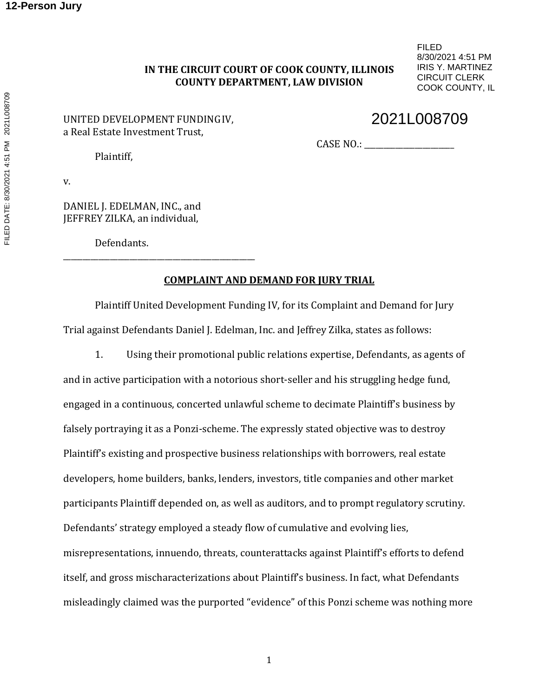## **IN THE CIRCUIT COURT OF COOK COUNTY, ILLINOIS COUNTY DEPARTMENT, LAW DIVISION**

FILED 8/30/2021 4:51 PM IRIS Y. MARTINEZ CIRCUIT CLERK COOK COUNTY, IL

### UNITED DEVELOPMENT FUNDINGIV, a Real Estate Investment Trust,

# 2021L008709

CASE NO.: \_\_\_\_\_\_\_\_\_\_\_\_\_\_\_\_\_\_\_\_\_\_\_

Plaintiff,

v.

DANIEL J. EDELMAN, INC., and JEFFREY ZILKA, an individual,

\_\_\_\_\_\_\_\_\_\_\_\_\_\_\_\_\_\_\_\_\_\_\_\_\_\_\_\_\_\_\_\_\_\_\_\_\_\_\_\_\_\_\_\_\_\_\_\_\_

Defendants.

## **COMPLAINT AND DEMAND FOR JURY TRIAL**

Plaintiff United Development Funding IV, for its Complaint and Demand for Jury Trial against Defendants Daniel J. Edelman, Inc. and Jeffrey Zilka, states as follows:

1. Using their promotional public relations expertise, Defendants, as agents of and in active participation with a notorious short-seller and his struggling hedge fund, engaged in a continuous, concerted unlawful scheme to decimate Plaintiff's business by falsely portraying it as a Ponzi-scheme. The expressly stated objective was to destroy Plaintiff's existing and prospective business relationships with borrowers, real estate developers, home builders, banks, lenders, investors, title companies and other market participants Plaintiff depended on, as well as auditors, and to prompt regulatory scrutiny. Defendants' strategy employed a steady flow of cumulative and evolving lies, misrepresentations, innuendo, threats, counterattacks against Plaintiff's efforts to defend itself, and gross mischaracterizations about Plaintiff's business. In fact, what Defendants misleadingly claimed was the purported "evidence" of this Ponzi scheme was nothing more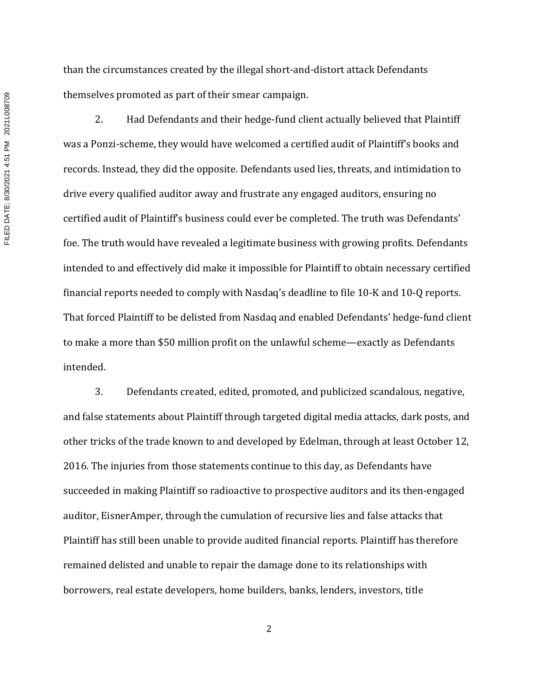than the circumstances created by the illegal short-and-distort attack Defendants themselves promoted as part of their smear campaign.

2. Had Defendants and their hedge-fund client actually believed that Plaintiff was a Ponzi-scheme, they would have welcomed a certified audit of Plaintiff's books and records. Instead, they did the opposite. Defendants used lies, threats, and intimidation to drive every qualified auditor away and frustrate any engaged auditors, ensuring no certified audit of Plaintiff's business could ever be completed. The truth was Defendants' foe. The truth would have revealed a legitimate business with growing profits. Defendants intended to and effectively did make it impossible for Plaintiff to obtain necessary certified financial reports needed to comply with Nasdaq's deadline to file 10-K and 10-Q reports. That forced Plaintiff to be delisted from Nasdaq and enabled Defendants' hedge-fund client to make a more than \$50 million profit on the unlawful scheme—exactly as Defendants intended.

3. Defendants created, edited, promoted, and publicized scandalous, negative, and false statements about Plaintiff through targeted digital media attacks, dark posts, and other tricks of the trade known to and developed by Edelman, through at least October 12, 2016. The injuries from those statements continue to this day, as Defendants have succeeded in making Plaintiff so radioactive to prospective auditors and its then-engaged auditor, EisnerAmper, through the cumulation of recursive lies and false attacks that Plaintiff has still been unable to provide audited financial reports. Plaintiff has therefore remained delisted and unable to repair the damage done to its relationships with borrowers, real estate developers, home builders, banks, lenders, investors, title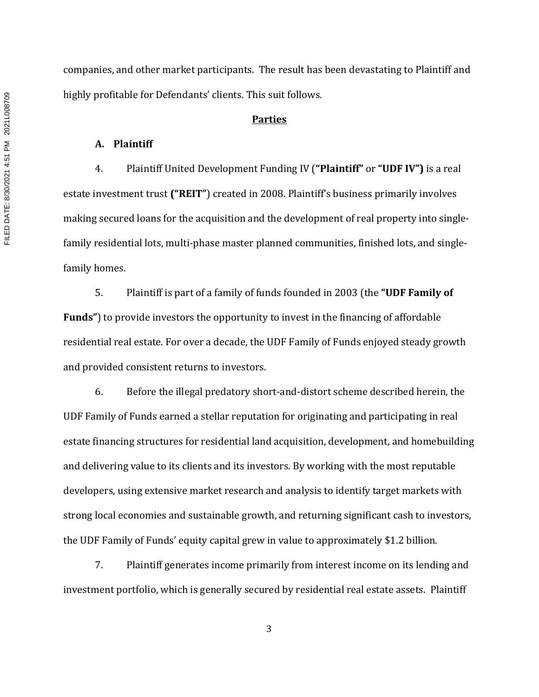companies, and other market participants. The result has been devastating to Plaintiff and highly profitable for Defendants' clients. This suit follows.

#### **Parties**

#### **A. Plaintiff**

4. Plaintiff United Development Funding IV (**"Plaintiff"** or **"UDF IV")** is a real estate investment trust **("REIT"**) created in 2008. Plaintiff's business primarily involves making secured loans for the acquisition and the development of real property into singlefamily residential lots, multi-phase master planned communities, finished lots, and singlefamily homes.

5. Plaintiff is part of a family of funds founded in 2003 (the **"UDF Family of Funds"**) to provide investors the opportunity to invest in the financing of affordable residential real estate. For over a decade, the UDF Family of Funds enjoyed steady growth and provided consistent returns to investors.

6. Before the illegal predatory short-and-distort scheme described herein, the UDF Family of Funds earned a stellar reputation for originating and participating in real estate financing structures for residential land acquisition, development, and homebuilding and delivering value to its clients and its investors. By working with the most reputable developers, using extensive market research and analysis to identify target markets with strong local economies and sustainable growth, and returning significant cash to investors, the UDF Family of Funds' equity capital grew in value to approximately \$1.2 billion.

7. Plaintiff generates income primarily from interest income on its lending and investment portfolio, which is generally secured by residential real estate assets. Plaintiff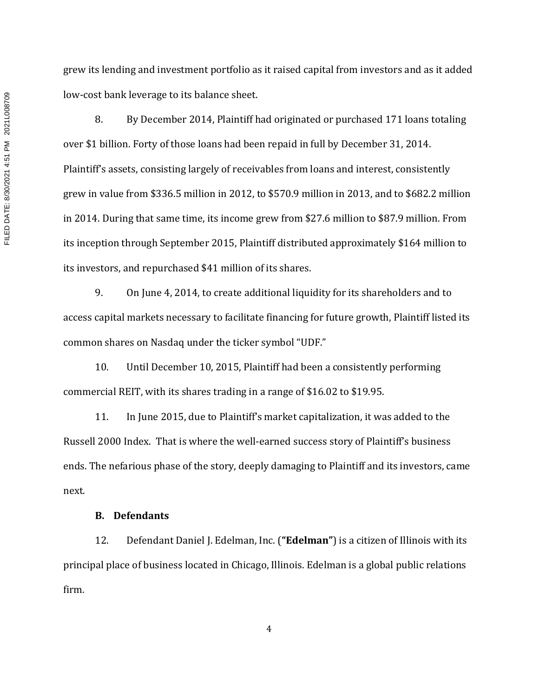grew its lending and investment portfolio as it raised capital from investors and as it added low-cost bank leverage to its balance sheet.

8. By December 2014, Plaintiff had originated or purchased 171 loans totaling over \$1 billion. Forty of those loans had been repaid in full by December 31, 2014. Plaintiff's assets, consisting largely of receivables from loans and interest, consistently grew in value from \$336.5 million in 2012, to \$570.9 million in 2013, and to \$682.2 million in 2014. During that same time, its income grew from \$27.6 million to \$87.9 million. From its inception through September 2015, Plaintiff distributed approximately \$164 million to its investors, and repurchased \$41 million of its shares.

9. On June 4, 2014, to create additional liquidity for its shareholders and to access capital markets necessary to facilitate financing for future growth, Plaintiff listed its common shares on Nasdaq under the ticker symbol "UDF."

10. Until December 10, 2015, Plaintiff had been a consistently performing commercial REIT, with its shares trading in a range of \$16.02 to \$19.95.

11. In June 2015, due to Plaintiff's market capitalization, it was added to the Russell 2000 Index. That is where the well-earned success story of Plaintiff's business ends. The nefarious phase of the story, deeply damaging to Plaintiff and its investors, came next.

#### **B. Defendants**

12. Defendant Daniel J. Edelman, Inc. (**"Edelman"**) is a citizen of Illinois with its principal place of business located in Chicago, Illinois. Edelman is a global public relations firm.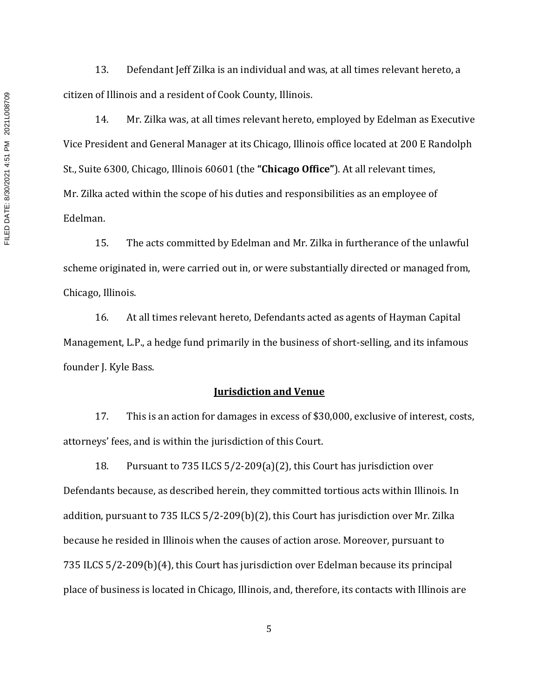13. Defendant Jeff Zilka is an individual and was, at all times relevant hereto, a citizen of Illinois and a resident of Cook County, Illinois.

14. Mr. Zilka was, at all times relevant hereto, employed by Edelman as Executive Vice President and General Manager at its Chicago, Illinois office located at 200 E Randolph St., Suite 6300, Chicago, Illinois 60601 (the **"Chicago Office"**). At all relevant times, Mr. Zilka acted within the scope of his duties and responsibilities as an employee of Edelman.

15. The acts committed by Edelman and Mr. Zilka in furtherance of the unlawful scheme originated in, were carried out in, or were substantially directed or managed from, Chicago, Illinois.

16. At all times relevant hereto, Defendants acted as agents of Hayman Capital Management, L.P., a hedge fund primarily in the business of short-selling, and its infamous founder J. Kyle Bass.

#### **Jurisdiction and Venue**

17. This is an action for damages in excess of \$30,000, exclusive of interest, costs, attorneys' fees, and is within the jurisdiction of this Court.

18. Pursuant to 735 ILCS 5/2-209(a)(2), this Court has jurisdiction over Defendants because, as described herein, they committed tortious acts within Illinois. In addition, pursuant to 735 ILCS 5/2-209(b)(2), this Court has jurisdiction over Mr. Zilka because he resided in Illinois when the causes of action arose. Moreover, pursuant to 735 ILCS 5/2-209(b)(4), this Court has jurisdiction over Edelman because its principal place of business is located in Chicago, Illinois, and, therefore, its contacts with Illinois are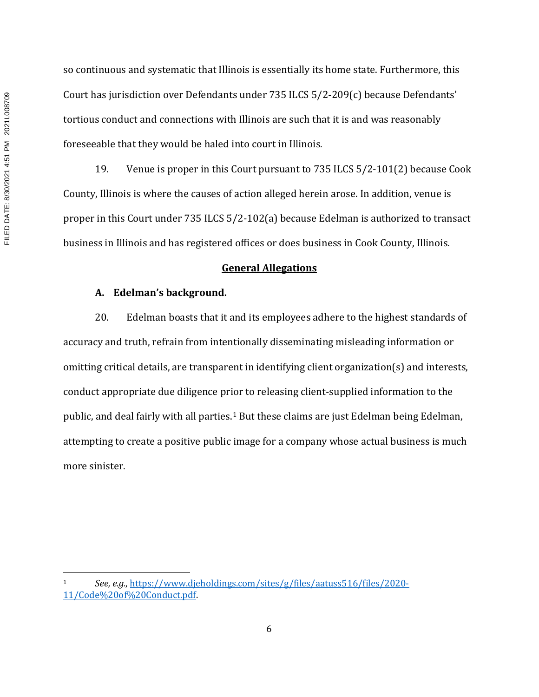so continuous and systematic that Illinois is essentially its home state. Furthermore, this Court has jurisdiction over Defendants under 735 ILCS 5/2-209(c) because Defendants' tortious conduct and connections with Illinois are such that it is and was reasonably foreseeable that they would be haled into court in Illinois.

19. Venue is proper in this Court pursuant to 735 ILCS 5/2-101(2) because Cook County, Illinois is where the causes of action alleged herein arose. In addition, venue is proper in this Court under 735 ILCS 5/2-102(a) because Edelman is authorized to transact business in Illinois and has registered offices or does business in Cook County, Illinois.

#### **General Allegations**

#### **A. Edelman's background.**

20. Edelman boasts that it and its employees adhere to the highest standards of accuracy and truth, refrain from intentionally disseminating misleading information or omitting critical details, are transparent in identifying client organization(s) and interests, conduct appropriate due diligence prior to releasing client-supplied information to the public, and deal fairly with all parties.1 But these claims are just Edelman being Edelman, attempting to create a positive public image for a company whose actual business is much more sinister.

<sup>1</sup> *See, e.g.*, https://www.djeholdings.com/sites/g/files/aatuss516/files/2020- 11/Code%20of%20Conduct.pdf.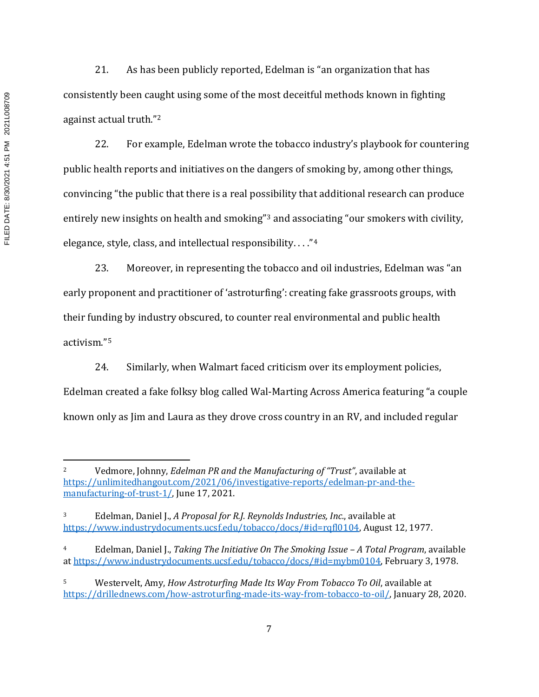21. As has been publicly reported, Edelman is "an organization that has consistently been caught using some of the most deceitful methods known in fighting against actual truth."2

22. For example, Edelman wrote the tobacco industry's playbook for countering public health reports and initiatives on the dangers of smoking by, among other things, convincing "the public that there is a real possibility that additional research can produce entirely new insights on health and smoking"3 and associating "our smokers with civility, elegance, style, class, and intellectual responsibility. . . ."4

23. Moreover, in representing the tobacco and oil industries, Edelman was "an early proponent and practitioner of 'astroturfing': creating fake grassroots groups, with their funding by industry obscured, to counter real environmental and public health activism."5

24. Similarly, when Walmart faced criticism over its employment policies, Edelman created a fake folksy blog called Wal-Marting Across America featuring "a couple known only as Jim and Laura as they drove cross country in an RV, and included regular

<sup>2</sup> Vedmore, Johnny, *Edelman PR and the Manufacturing of "Trust"*, available at https://unlimitedhangout.com/2021/06/investigative-reports/edelman-pr-and-themanufacturing-of-trust-1/, June 17, 2021.

<sup>3</sup> Edelman, Daniel J., *A Proposal for R.J. Reynolds Industries, Inc.*, available at https://www.industrydocuments.ucsf.edu/tobacco/docs/#id=rqfl0104, August 12, 1977.

<sup>4</sup> Edelman, Daniel J., *Taking The Initiative On The Smoking Issue – A Total Program*, available at https://www.industrydocuments.ucsf.edu/tobacco/docs/#id=mybm0104, February 3, 1978.

<sup>5</sup> Westervelt, Amy, *How Astroturfing Made Its Way From Tobacco To Oil*, available at https://drillednews.com/how-astroturfing-made-its-way-from-tobacco-to-oil/, January 28, 2020.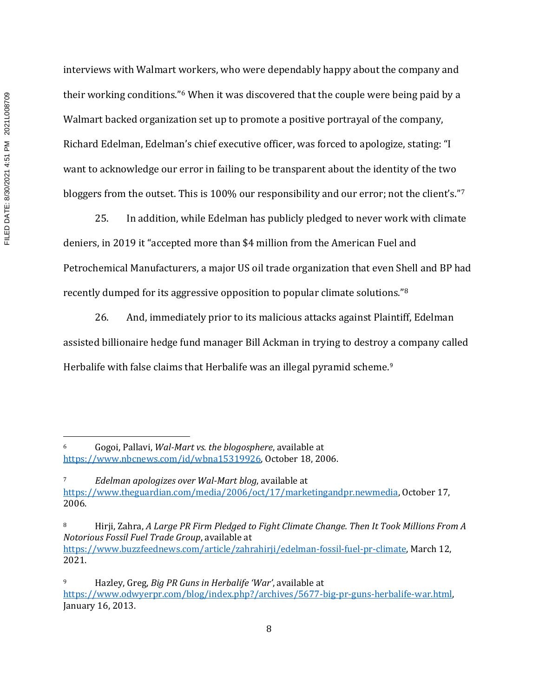interviews with Walmart workers, who were dependably happy about the company and their working conditions."6 When it was discovered that the couple were being paid by a Walmart backed organization set up to promote a positive portrayal of the company, Richard Edelman, Edelman's chief executive officer, was forced to apologize, stating: "I want to acknowledge our error in failing to be transparent about the identity of the two bloggers from the outset. This is 100% our responsibility and our error; not the client's."7

25. In addition, while Edelman has publicly pledged to never work with climate deniers, in 2019 it "accepted more than \$4 million from the American Fuel and Petrochemical Manufacturers, a major US oil trade organization that even Shell and BP had recently dumped for its aggressive opposition to popular climate solutions."8

26. And, immediately prior to its malicious attacks against Plaintiff, Edelman assisted billionaire hedge fund manager Bill Ackman in trying to destroy a company called Herbalife with false claims that Herbalife was an illegal pyramid scheme.<sup>9</sup>

<sup>6</sup> Gogoi, Pallavi, *Wal-Mart vs. the blogosphere*, available at https://www.nbcnews.com/id/wbna15319926, October 18, 2006.

<sup>7</sup> *Edelman apologizes over Wal-Mart blog*, available at https://www.theguardian.com/media/2006/oct/17/marketingandpr.newmedia, October 17, 2006.

<sup>8</sup> Hirji, Zahra, *A Large PR Firm Pledged to Fight Climate Change. Then It Took Millions From A Notorious Fossil Fuel Trade Group*, available at https://www.buzzfeednews.com/article/zahrahirji/edelman-fossil-fuel-pr-climate, March 12, 2021.

<sup>9</sup> Hazley, Greg, *Big PR Guns in Herbalife 'War'*, available at https://www.odwyerpr.com/blog/index.php?/archives/5677-big-pr-guns-herbalife-war.html, January 16, 2013.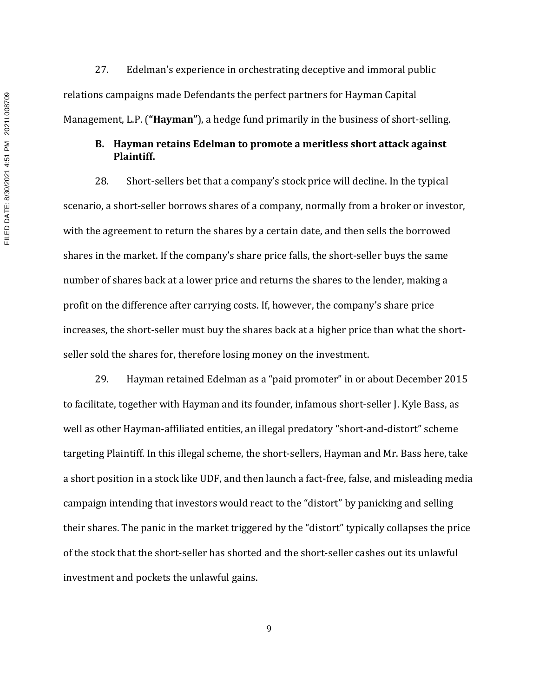27. Edelman's experience in orchestrating deceptive and immoral public relations campaigns made Defendants the perfect partners for Hayman Capital Management, L.P. (**"Hayman"**), a hedge fund primarily in the business of short-selling.

## **B. Hayman retains Edelman to promote a meritless short attack against Plaintiff.**

28. Short-sellers bet that a company's stock price will decline. In the typical scenario, a short-seller borrows shares of a company, normally from a broker or investor, with the agreement to return the shares by a certain date, and then sells the borrowed shares in the market. If the company's share price falls, the short-seller buys the same number of shares back at a lower price and returns the shares to the lender, making a profit on the difference after carrying costs. If, however, the company's share price increases, the short-seller must buy the shares back at a higher price than what the shortseller sold the shares for, therefore losing money on the investment.

29. Hayman retained Edelman as a "paid promoter" in or about December 2015 to facilitate, together with Hayman and its founder, infamous short-seller J. Kyle Bass, as well as other Hayman-affiliated entities, an illegal predatory "short-and-distort" scheme targeting Plaintiff. In this illegal scheme, the short-sellers, Hayman and Mr. Bass here, take a short position in a stock like UDF, and then launch a fact-free, false, and misleading media campaign intending that investors would react to the "distort" by panicking and selling their shares. The panic in the market triggered by the "distort" typically collapses the price of the stock that the short-seller has shorted and the short-seller cashes out its unlawful investment and pockets the unlawful gains.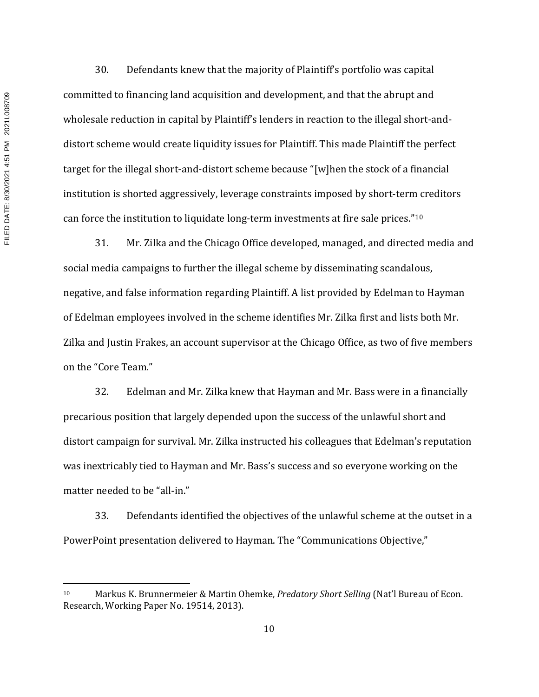FILED DATE: 8/30/2021 4:51 PM 2021L008709 FILED DATE: 8/30/2021 4:51 PM 2021L008709

30. Defendants knew that the majority of Plaintiff's portfolio was capital committed to financing land acquisition and development, and that the abrupt and wholesale reduction in capital by Plaintiff's lenders in reaction to the illegal short-anddistort scheme would create liquidity issues for Plaintiff. This made Plaintiff the perfect target for the illegal short-and-distort scheme because "[w]hen the stock of a financial institution is shorted aggressively, leverage constraints imposed by short-term creditors can force the institution to liquidate long-term investments at fire sale prices."10

31. Mr. Zilka and the Chicago Office developed, managed, and directed media and social media campaigns to further the illegal scheme by disseminating scandalous, negative, and false information regarding Plaintiff. A list provided by Edelman to Hayman of Edelman employees involved in the scheme identifies Mr. Zilka first and lists both Mr. Zilka and Justin Frakes, an account supervisor at the Chicago Office, as two of five members on the "Core Team."

32. Edelman and Mr. Zilka knew that Hayman and Mr. Bass were in a financially precarious position that largely depended upon the success of the unlawful short and distort campaign for survival. Mr. Zilka instructed his colleagues that Edelman's reputation was inextricably tied to Hayman and Mr. Bass's success and so everyone working on the matter needed to be "all-in."

33. Defendants identified the objectives of the unlawful scheme at the outset in a PowerPoint presentation delivered to Hayman. The "Communications Objective,"

<sup>10</sup> Markus K. Brunnermeier & Martin Ohemke, *Predatory Short Selling* (Nat'l Bureau of Econ. Research, Working Paper No. 19514, 2013).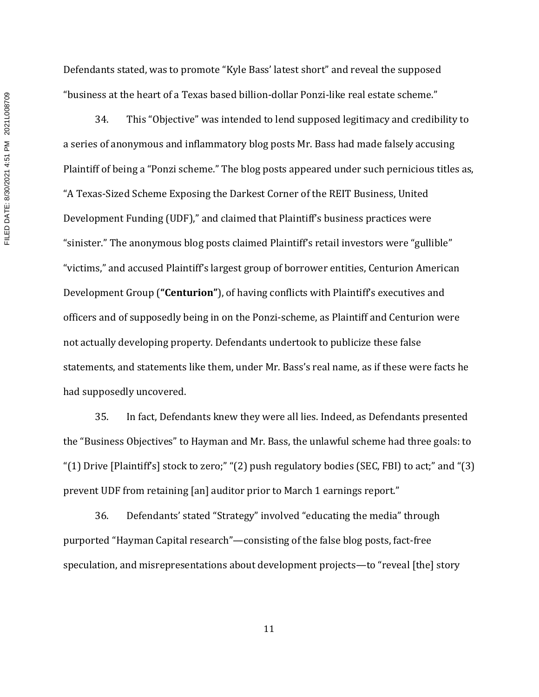Defendants stated, was to promote "Kyle Bass' latest short" and reveal the supposed "business at the heart of a Texas based billion-dollar Ponzi-like real estate scheme."

34. This "Objective" was intended to lend supposed legitimacy and credibility to a series of anonymous and inflammatory blog posts Mr. Bass had made falsely accusing Plaintiff of being a "Ponzi scheme." The blog posts appeared under such pernicious titles as, "A Texas-Sized Scheme Exposing the Darkest Corner of the REIT Business, United Development Funding (UDF)," and claimed that Plaintiff's business practices were "sinister." The anonymous blog posts claimed Plaintiff's retail investors were "gullible" "victims," and accused Plaintiff's largest group of borrower entities, Centurion American Development Group (**"Centurion"**), of having conflicts with Plaintiff's executives and officers and of supposedly being in on the Ponzi-scheme, as Plaintiff and Centurion were not actually developing property. Defendants undertook to publicize these false statements, and statements like them, under Mr. Bass's real name, as if these were facts he had supposedly uncovered.

35. In fact, Defendants knew they were all lies. Indeed, as Defendants presented the "Business Objectives" to Hayman and Mr. Bass, the unlawful scheme had three goals: to "(1) Drive [Plaintiff's] stock to zero;" "(2) push regulatory bodies (SEC, FBI) to act;" and "(3) prevent UDF from retaining [an] auditor prior to March 1 earnings report."

36. Defendants' stated "Strategy" involved "educating the media" through purported "Hayman Capital research"—consisting of the false blog posts, fact-free speculation, and misrepresentations about development projects—to "reveal [the] story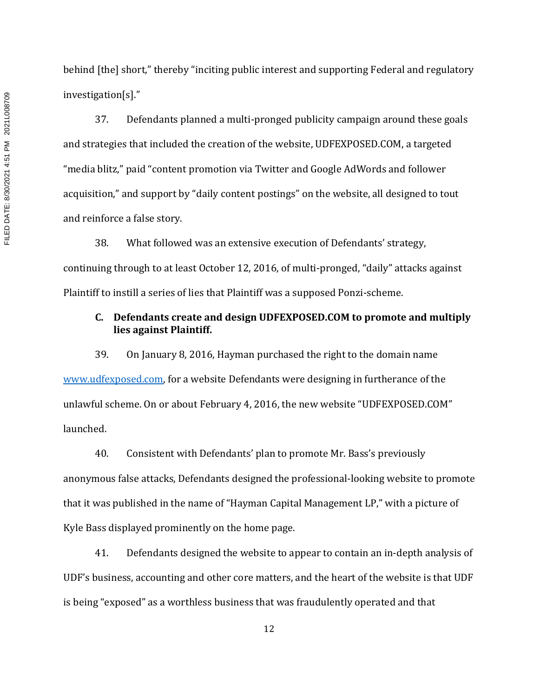FILED DATE: 8/30/2021 4:51 PM 2021L008709 FILED DATE: 8/30/2021 4:51 PM 2021L008709

behind [the] short," thereby "inciting public interest and supporting Federal and regulatory investigation[s]."

37. Defendants planned a multi-pronged publicity campaign around these goals and strategies that included the creation of the website, UDFEXPOSED.COM, a targeted "media blitz," paid "content promotion via Twitter and Google AdWords and follower acquisition," and support by "daily content postings" on the website, all designed to tout and reinforce a false story.

38. What followed was an extensive execution of Defendants' strategy, continuing through to at least October 12, 2016, of multi-pronged, "daily" attacks against Plaintiff to instill a series of lies that Plaintiff was a supposed Ponzi-scheme.

## **C. Defendants create and design UDFEXPOSED.COM to promote and multiply lies against Plaintiff.**

39. On January 8, 2016, Hayman purchased the right to the domain name www.udfexposed.com, for a website Defendants were designing in furtherance of the unlawful scheme. On or about February 4, 2016, the new website "UDFEXPOSED.COM" launched.

40. Consistent with Defendants' plan to promote Mr. Bass's previously anonymous false attacks, Defendants designed the professional-looking website to promote that it was published in the name of "Hayman Capital Management LP," with a picture of Kyle Bass displayed prominently on the home page.

41. Defendants designed the website to appear to contain an in-depth analysis of UDF's business, accounting and other core matters, and the heart of the website is that UDF is being "exposed" as a worthless business that was fraudulently operated and that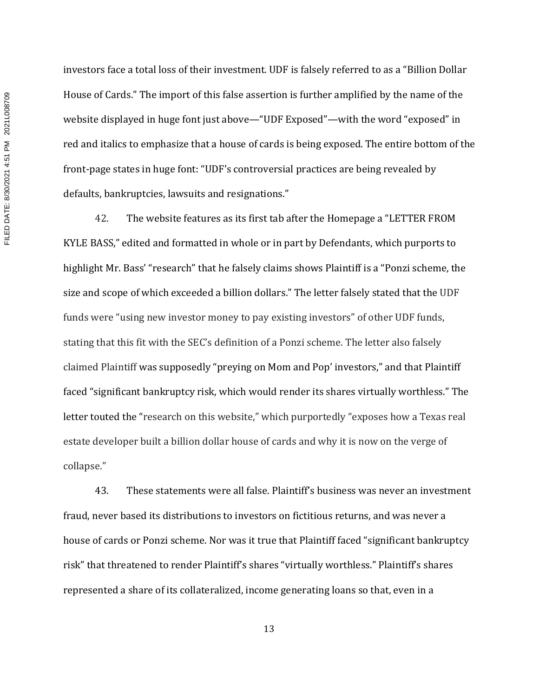investors face a total loss of their investment. UDF is falsely referred to as a "Billion Dollar House of Cards." The import of this false assertion is further amplified by the name of the website displayed in huge font just above—"UDF Exposed"—with the word "exposed" in red and italics to emphasize that a house of cards is being exposed. The entire bottom of the front-page states in huge font: "UDF's controversial practices are being revealed by defaults, bankruptcies, lawsuits and resignations."

42. The website features as its first tab after the Homepage a "LETTER FROM KYLE BASS," edited and formatted in whole or in part by Defendants, which purports to highlight Mr. Bass' "research" that he falsely claims shows Plaintiff is a "Ponzi scheme, the size and scope of which exceeded a billion dollars." The letter falsely stated that the UDF funds were "using new investor money to pay existing investors" of other UDF funds, stating that this fit with the SEC's definition of a Ponzi scheme. The letter also falsely claimed Plaintiff was supposedly "preying on Mom and Pop' investors," and that Plaintiff faced "significant bankruptcy risk, which would render its shares virtually worthless." The letter touted the "research on this website," which purportedly "exposes how a Texas real estate developer built a billion dollar house of cards and why it is now on the verge of collapse."

43. These statements were all false. Plaintiff's business was never an investment fraud, never based its distributions to investors on fictitious returns, and was never a house of cards or Ponzi scheme. Nor was it true that Plaintiff faced "significant bankruptcy risk" that threatened to render Plaintiff's shares "virtually worthless." Plaintiff's shares represented a share of its collateralized, income generating loans so that, even in a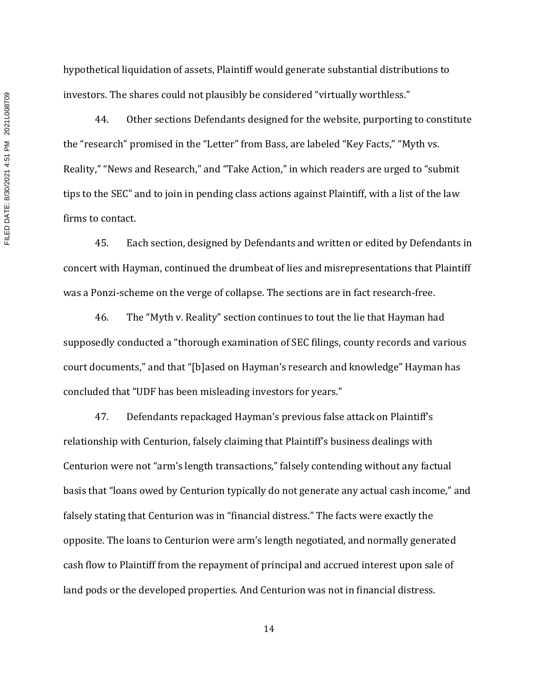hypothetical liquidation of assets, Plaintiff would generate substantial distributions to investors. The shares could not plausibly be considered "virtually worthless."

44. Other sections Defendants designed for the website, purporting to constitute the "research" promised in the "Letter" from Bass, are labeled "Key Facts," "Myth vs. Reality," "News and Research," and "Take Action," in which readers are urged to "submit tips to the SEC" and to join in pending class actions against Plaintiff, with a list of the law firms to contact.

45. Each section, designed by Defendants and written or edited by Defendants in concert with Hayman, continued the drumbeat of lies and misrepresentations that Plaintiff was a Ponzi-scheme on the verge of collapse. The sections are in fact research-free.

46. The "Myth v. Reality" section continues to tout the lie that Hayman had supposedly conducted a "thorough examination of SEC filings, county records and various court documents," and that "[b]ased on Hayman's research and knowledge" Hayman has concluded that "UDF has been misleading investors for years."

47. Defendants repackaged Hayman's previous false attack on Plaintiff's relationship with Centurion, falsely claiming that Plaintiff's business dealings with Centurion were not "arm's length transactions," falsely contending without any factual basis that "loans owed by Centurion typically do not generate any actual cash income," and falsely stating that Centurion was in "financial distress." The facts were exactly the opposite. The loans to Centurion were arm's length negotiated, and normally generated cash flow to Plaintiff from the repayment of principal and accrued interest upon sale of land pods or the developed properties. And Centurion was not in financial distress.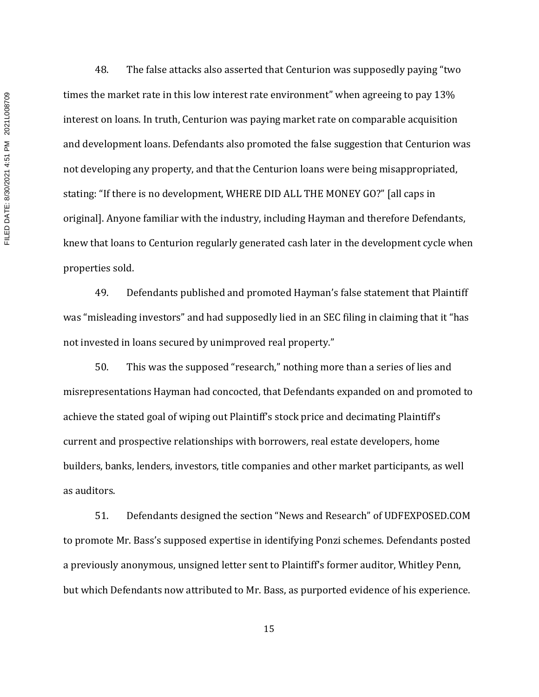FILED DATE: 8/30/2021 4:51 PM 2021L008709 FILED DATE: 8/30/2021 4:51 PM 2021L008709

48. The false attacks also asserted that Centurion was supposedly paying "two times the market rate in this low interest rate environment" when agreeing to pay 13% interest on loans. In truth, Centurion was paying market rate on comparable acquisition and development loans. Defendants also promoted the false suggestion that Centurion was not developing any property, and that the Centurion loans were being misappropriated, stating: "If there is no development, WHERE DID ALL THE MONEY GO?" [all caps in original]. Anyone familiar with the industry, including Hayman and therefore Defendants, knew that loans to Centurion regularly generated cash later in the development cycle when properties sold.

49. Defendants published and promoted Hayman's false statement that Plaintiff was "misleading investors" and had supposedly lied in an SEC filing in claiming that it "has not invested in loans secured by unimproved real property."

50. This was the supposed "research," nothing more than a series of lies and misrepresentations Hayman had concocted, that Defendants expanded on and promoted to achieve the stated goal of wiping out Plaintiff's stock price and decimating Plaintiff's current and prospective relationships with borrowers, real estate developers, home builders, banks, lenders, investors, title companies and other market participants, as well as auditors.

51. Defendants designed the section "News and Research" of UDFEXPOSED.COM to promote Mr. Bass's supposed expertise in identifying Ponzi schemes. Defendants posted a previously anonymous, unsigned letter sent to Plaintiff's former auditor, Whitley Penn, but which Defendants now attributed to Mr. Bass, as purported evidence of his experience.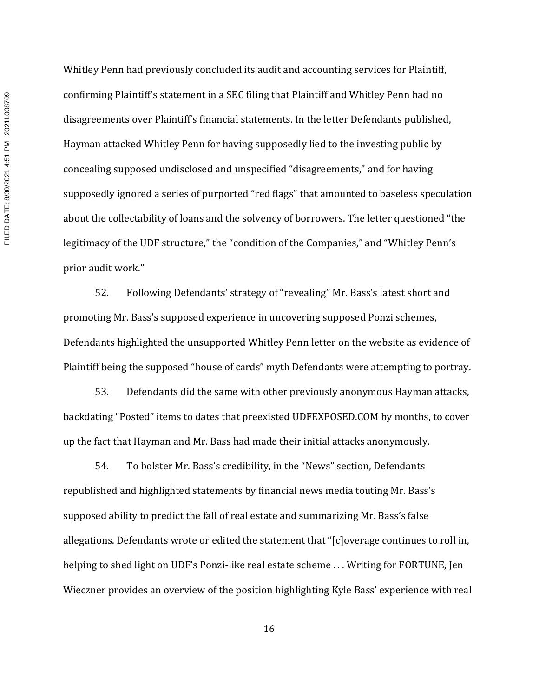Whitley Penn had previously concluded its audit and accounting services for Plaintiff, confirming Plaintiff's statement in a SEC filing that Plaintiff and Whitley Penn had no disagreements over Plaintiff's financial statements. In the letter Defendants published, Hayman attacked Whitley Penn for having supposedly lied to the investing public by concealing supposed undisclosed and unspecified "disagreements," and for having supposedly ignored a series of purported "red flags" that amounted to baseless speculation about the collectability of loans and the solvency of borrowers. The letter questioned "the legitimacy of the UDF structure," the "condition of the Companies," and "Whitley Penn's prior audit work."

52. Following Defendants' strategy of "revealing" Mr. Bass's latest short and promoting Mr. Bass's supposed experience in uncovering supposed Ponzi schemes, Defendants highlighted the unsupported Whitley Penn letter on the website as evidence of Plaintiff being the supposed "house of cards" myth Defendants were attempting to portray.

53. Defendants did the same with other previously anonymous Hayman attacks, backdating "Posted" items to dates that preexisted UDFEXPOSED.COM by months, to cover up the fact that Hayman and Mr. Bass had made their initial attacks anonymously.

54. To bolster Mr. Bass's credibility, in the "News" section, Defendants republished and highlighted statements by financial news media touting Mr. Bass's supposed ability to predict the fall of real estate and summarizing Mr. Bass's false allegations. Defendants wrote or edited the statement that "[c]overage continues to roll in, helping to shed light on UDF's Ponzi-like real estate scheme . . . Writing for FORTUNE, Jen Wieczner provides an overview of the position highlighting Kyle Bass' experience with real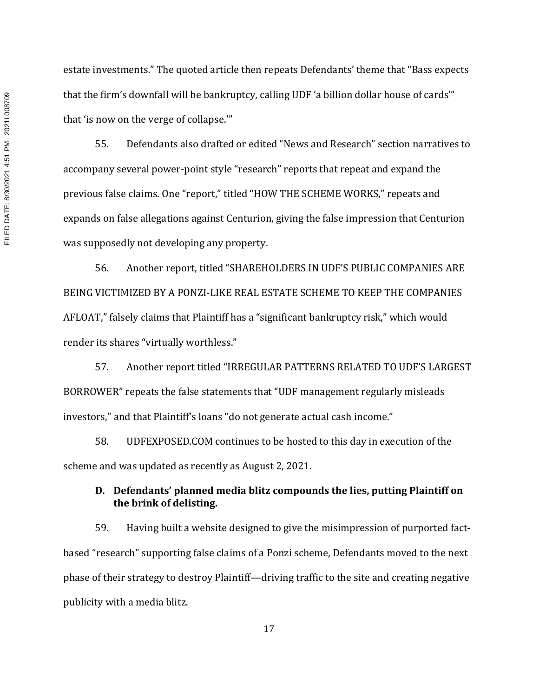estate investments." The quoted article then repeats Defendants' theme that "Bass expects that the firm's downfall will be bankruptcy, calling UDF 'a billion dollar house of cards'" that 'is now on the verge of collapse.'"

55. Defendants also drafted or edited "News and Research" section narratives to accompany several power-point style "research" reports that repeat and expand the previous false claims. One "report," titled "HOW THE SCHEME WORKS," repeats and expands on false allegations against Centurion, giving the false impression that Centurion was supposedly not developing any property.

56. Another report, titled "SHAREHOLDERS IN UDF'S PUBLIC COMPANIES ARE BEING VICTIMIZED BY A PONZI-LIKE REAL ESTATE SCHEME TO KEEP THE COMPANIES AFLOAT," falsely claims that Plaintiff has a "significant bankruptcy risk," which would render its shares "virtually worthless."

57. Another report titled "IRREGULAR PATTERNS RELATED TO UDF'S LARGEST BORROWER" repeats the false statements that "UDF management regularly misleads investors," and that Plaintiff's loans "do not generate actual cash income."

58. UDFEXPOSED.COM continues to be hosted to this day in execution of the scheme and was updated as recently as August 2, 2021.

## **D. Defendants' planned media blitz compounds the lies, putting Plaintiff on the brink of delisting.**

59. Having built a website designed to give the misimpression of purported factbased "research" supporting false claims of a Ponzi scheme, Defendants moved to the next phase of their strategy to destroy Plaintiff—driving traffic to the site and creating negative publicity with a media blitz.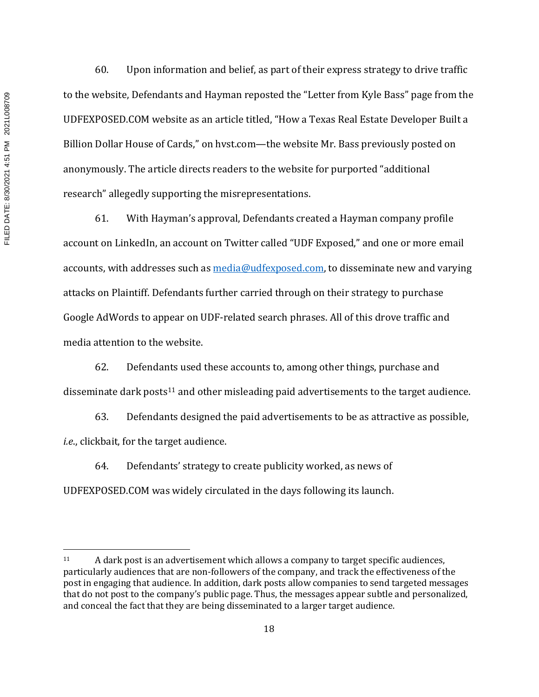FILED DATE: 8/30/2021 4:51 PM 2021L008709 FILED DATE: 8/30/2021 4:51 PM 2021L008709

60. Upon information and belief, as part of their express strategy to drive traffic to the website, Defendants and Hayman reposted the "Letter from Kyle Bass" page from the UDFEXPOSED.COM website as an article titled, "How a Texas Real Estate Developer Built a Billion Dollar House of Cards," on hvst.com—the website Mr. Bass previously posted on anonymously. The article directs readers to the website for purported "additional research" allegedly supporting the misrepresentations.

61. With Hayman's approval, Defendants created a Hayman company profile account on LinkedIn, an account on Twitter called "UDF Exposed," and one or more email accounts, with addresses such as media@udfexposed.com, to disseminate new and varying attacks on Plaintiff. Defendants further carried through on their strategy to purchase Google AdWords to appear on UDF-related search phrases. All of this drove traffic and media attention to the website.

62. Defendants used these accounts to, among other things, purchase and disseminate dark posts<sup>11</sup> and other misleading paid advertisements to the target audience.

63. Defendants designed the paid advertisements to be as attractive as possible, *i.e*., clickbait, for the target audience.

64. Defendants' strategy to create publicity worked, as news of UDFEXPOSED.COM was widely circulated in the days following its launch.

<sup>11</sup> A dark post is an advertisement which allows a company to target specific audiences, particularly audiences that are non-followers of the company, and track the effectiveness of the post in engaging that audience. In addition, dark posts allow companies to send targeted messages that do not post to the company's public page. Thus, the messages appear subtle and personalized, and conceal the fact that they are being disseminated to a larger target audience.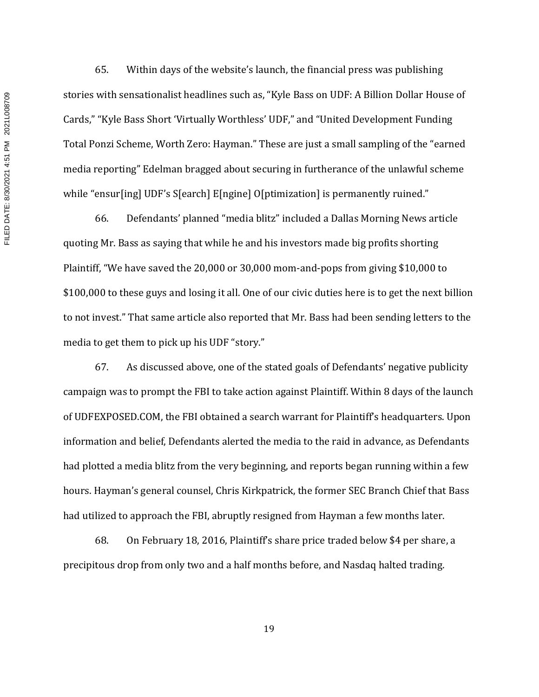65. Within days of the website's launch, the financial press was publishing stories with sensationalist headlines such as, "Kyle Bass on UDF: A Billion Dollar House of Cards," "Kyle Bass Short 'Virtually Worthless' UDF," and "United Development Funding Total Ponzi Scheme, Worth Zero: Hayman." These are just a small sampling of the "earned media reporting" Edelman bragged about securing in furtherance of the unlawful scheme while "ensur[ing] UDF's S[earch] E[ngine] O[ptimization] is permanently ruined."

66. Defendants' planned "media blitz" included a Dallas Morning News article quoting Mr. Bass as saying that while he and his investors made big profits shorting Plaintiff, "We have saved the 20,000 or 30,000 mom-and-pops from giving \$10,000 to \$100,000 to these guys and losing it all. One of our civic duties here is to get the next billion to not invest." That same article also reported that Mr. Bass had been sending letters to the media to get them to pick up his UDF "story."

67. As discussed above, one of the stated goals of Defendants' negative publicity campaign was to prompt the FBI to take action against Plaintiff. Within 8 days of the launch of UDFEXPOSED.COM, the FBI obtained a search warrant for Plaintiff's headquarters. Upon information and belief, Defendants alerted the media to the raid in advance, as Defendants had plotted a media blitz from the very beginning, and reports began running within a few hours. Hayman's general counsel, Chris Kirkpatrick, the former SEC Branch Chief that Bass had utilized to approach the FBI, abruptly resigned from Hayman a few months later.

68. On February 18, 2016, Plaintiff's share price traded below \$4 per share, a precipitous drop from only two and a half months before, and Nasdaq halted trading.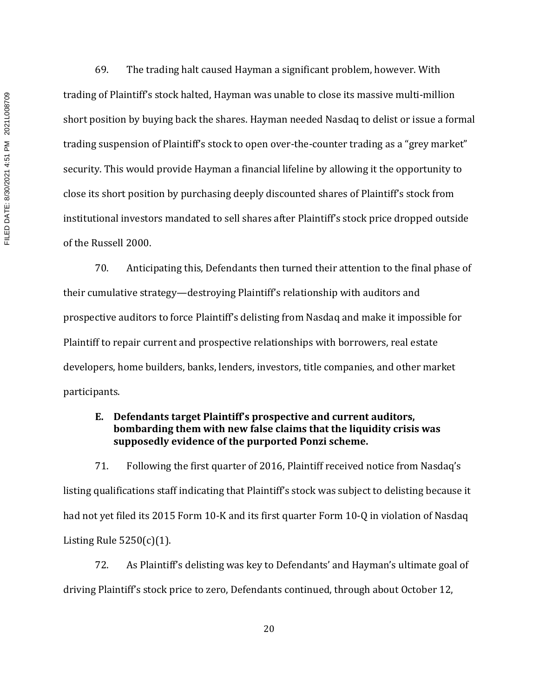FILED DATE: 8/30/2021 4:51 PM 2021L008709 FILED DATE: 8/30/2021 4:51 PM 2021L008709

69. The trading halt caused Hayman a significant problem, however. With trading of Plaintiff's stock halted, Hayman was unable to close its massive multi-million short position by buying back the shares. Hayman needed Nasdaq to delist or issue a formal trading suspension of Plaintiff's stock to open over-the-counter trading as a "grey market" security. This would provide Hayman a financial lifeline by allowing it the opportunity to close its short position by purchasing deeply discounted shares of Plaintiff's stock from institutional investors mandated to sell shares after Plaintiff's stock price dropped outside of the Russell 2000.

70. Anticipating this, Defendants then turned their attention to the final phase of their cumulative strategy—destroying Plaintiff's relationship with auditors and prospective auditors to force Plaintiff's delisting from Nasdaq and make it impossible for Plaintiff to repair current and prospective relationships with borrowers, real estate developers, home builders, banks, lenders, investors, title companies, and other market participants.

## **E. Defendants target Plaintiff's prospective and current auditors, bombarding them with new false claims that the liquidity crisis was supposedly evidence of the purported Ponzi scheme.**

71. Following the first quarter of 2016, Plaintiff received notice from Nasdaq's listing qualifications staff indicating that Plaintiff's stock was subject to delisting because it had not yet filed its 2015 Form 10-K and its first quarter Form 10-Q in violation of Nasdaq Listing Rule  $5250(c)(1)$ .

72. As Plaintiff's delisting was key to Defendants' and Hayman's ultimate goal of driving Plaintiff's stock price to zero, Defendants continued, through about October 12,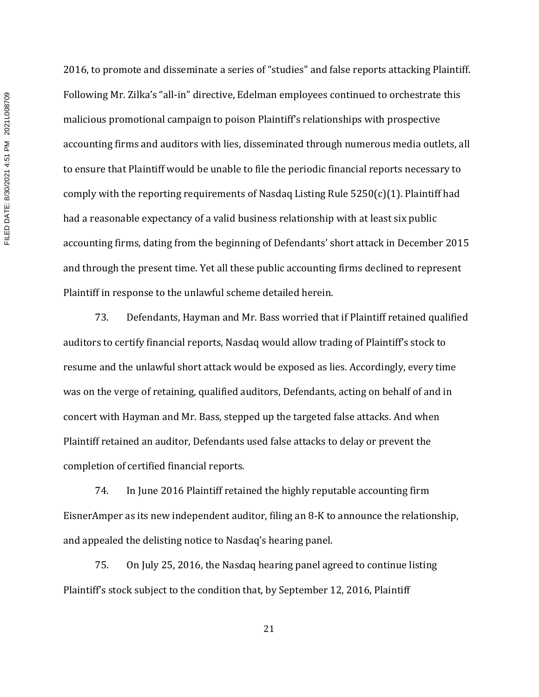2016, to promote and disseminate a series of "studies" and false reports attacking Plaintiff. Following Mr. Zilka's "all-in" directive, Edelman employees continued to orchestrate this malicious promotional campaign to poison Plaintiff's relationships with prospective accounting firms and auditors with lies, disseminated through numerous media outlets, all to ensure that Plaintiff would be unable to file the periodic financial reports necessary to comply with the reporting requirements of Nasdaq Listing Rule 5250(c)(1). Plaintiff had had a reasonable expectancy of a valid business relationship with at least six public accounting firms, dating from the beginning of Defendants' short attack in December 2015 and through the present time. Yet all these public accounting firms declined to represent Plaintiff in response to the unlawful scheme detailed herein.

73. Defendants, Hayman and Mr. Bass worried that if Plaintiff retained qualified auditors to certify financial reports, Nasdaq would allow trading of Plaintiff's stock to resume and the unlawful short attack would be exposed as lies. Accordingly, every time was on the verge of retaining, qualified auditors, Defendants, acting on behalf of and in concert with Hayman and Mr. Bass, stepped up the targeted false attacks. And when Plaintiff retained an auditor, Defendants used false attacks to delay or prevent the completion of certified financial reports.

74. In June 2016 Plaintiff retained the highly reputable accounting firm EisnerAmper as its new independent auditor, filing an 8-K to announce the relationship, and appealed the delisting notice to Nasdaq's hearing panel.

75. On July 25, 2016, the Nasdaq hearing panel agreed to continue listing Plaintiff's stock subject to the condition that, by September 12, 2016, Plaintiff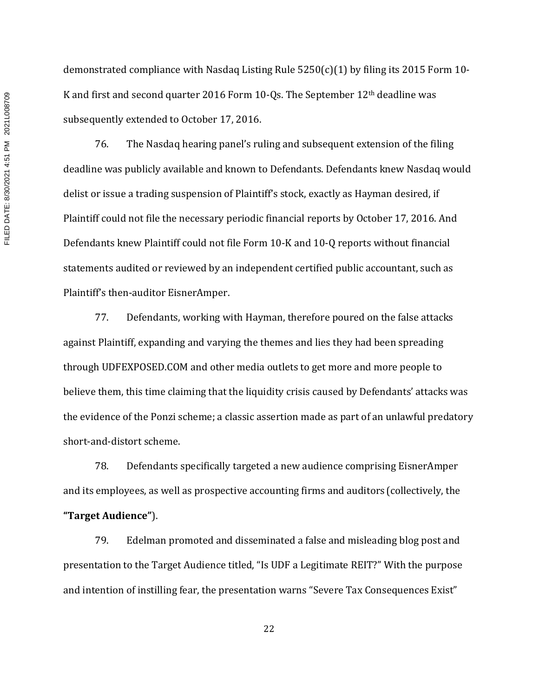demonstrated compliance with Nasdaq Listing Rule 5250(c)(1) by filing its 2015 Form 10- K and first and second quarter 2016 Form 10-Qs. The September 12th deadline was subsequently extended to October 17, 2016.

76. The Nasdaq hearing panel's ruling and subsequent extension of the filing deadline was publicly available and known to Defendants. Defendants knew Nasdaq would delist or issue a trading suspension of Plaintiff's stock, exactly as Hayman desired, if Plaintiff could not file the necessary periodic financial reports by October 17, 2016. And Defendants knew Plaintiff could not file Form 10-K and 10-Q reports without financial statements audited or reviewed by an independent certified public accountant, such as Plaintiff's then-auditor EisnerAmper.

77. Defendants, working with Hayman, therefore poured on the false attacks against Plaintiff, expanding and varying the themes and lies they had been spreading through UDFEXPOSED.COM and other media outlets to get more and more people to believe them, this time claiming that the liquidity crisis caused by Defendants' attacks was the evidence of the Ponzi scheme; a classic assertion made as part of an unlawful predatory short-and-distort scheme.

78. Defendants specifically targeted a new audience comprising EisnerAmper and its employees, as well as prospective accounting firms and auditors (collectively, the **"Target Audience"**).

79. Edelman promoted and disseminated a false and misleading blog post and presentation to the Target Audience titled, "Is UDF a Legitimate REIT?" With the purpose and intention of instilling fear, the presentation warns "Severe Tax Consequences Exist"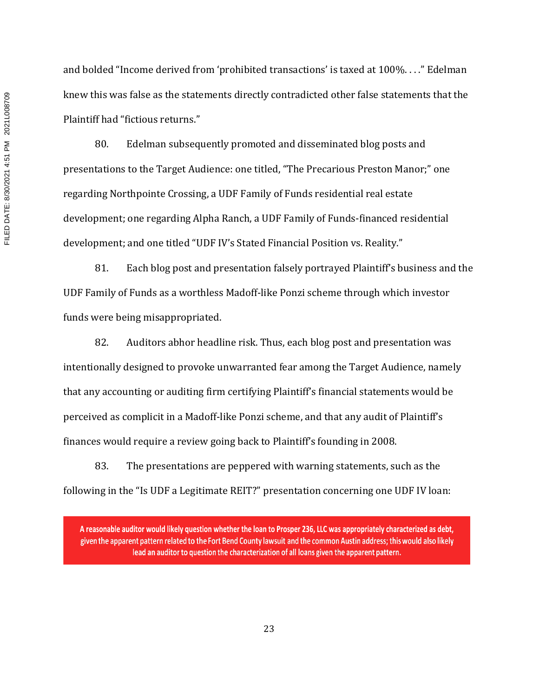and bolded "Income derived from 'prohibited transactions' is taxed at 100%. . . ." Edelman knew this was false as the statements directly contradicted other false statements that the Plaintiff had "fictious returns."

80. Edelman subsequently promoted and disseminated blog posts and presentations to the Target Audience: one titled, "The Precarious Preston Manor;" one regarding Northpointe Crossing, a UDF Family of Funds residential real estate development; one regarding Alpha Ranch, a UDF Family of Funds-financed residential development; and one titled "UDF IV's Stated Financial Position vs. Reality."

81. Each blog post and presentation falsely portrayed Plaintiff's business and the UDF Family of Funds as a worthless Madoff-like Ponzi scheme through which investor funds were being misappropriated.

82. Auditors abhor headline risk. Thus, each blog post and presentation was intentionally designed to provoke unwarranted fear among the Target Audience, namely that any accounting or auditing firm certifying Plaintiff's financial statements would be perceived as complicit in a Madoff-like Ponzi scheme, and that any audit of Plaintiff's finances would require a review going back to Plaintiff's founding in 2008.

83. The presentations are peppered with warning statements, such as the following in the "Is UDF a Legitimate REIT?" presentation concerning one UDF IV loan:

A reasonable auditor would likely question whether the loan to Prosper 236, LLC was appropriately characterized as debt, given the apparent pattern related to the Fort Bend County lawsuit and the common Austin address; this would also likely lead an auditor to question the characterization of all loans given the apparent pattern.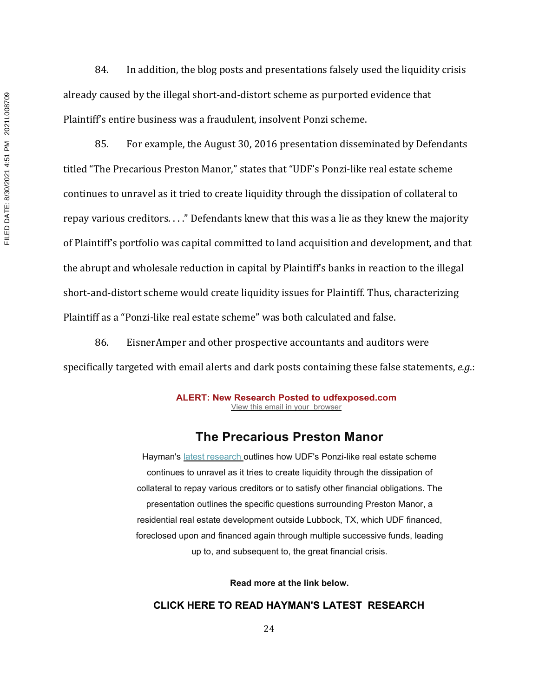84. In addition, the blog posts and presentations falsely used the liquidity crisis already caused by the illegal short-and-distort scheme as purported evidence that Plaintiff's entire business was a fraudulent, insolvent Ponzi scheme.

85. For example, the August 30, 2016 presentation disseminated by Defendants titled "The Precarious Preston Manor," states that "UDF's Ponzi-like real estate scheme continues to unravel as it tried to create liquidity through the dissipation of collateral to repay various creditors. . . ." Defendants knew that this was a lie as they knew the majority of Plaintiff's portfolio was capital committed to land acquisition and development, and that the abrupt and wholesale reduction in capital by Plaintiff's banks in reaction to the illegal short-and-distort scheme would create liquidity issues for Plaintiff. Thus, characterizing Plaintiff as a "Ponzi-like real estate scheme" was both calculated and false.

86. EisnerAmper and other prospective accountants and auditors were specifically targeted with email alerts and dark posts containing these false statements, *e.g*.:

> **ALERT: New Research Posted to udfexposed.com**  View this email in your browser

# **The Precarious Preston Manor**

Hayman's latest research outlines how UDF's Ponzi-like real estate scheme continues to unravel as it tries to create liquidity through the dissipation of collateral to repay various creditors or to satisfy other financial obligations. The presentation outlines the specific questions surrounding Preston Manor, a residential real estate development outside Lubbock, TX, which UDF financed, foreclosed upon and financed again through multiple successive funds, leading up to, and subsequent to, the great financial crisis.

**Read more at the link below.**

### **CLICK HERE TO READ HAYMAN'S LATEST RESEARCH**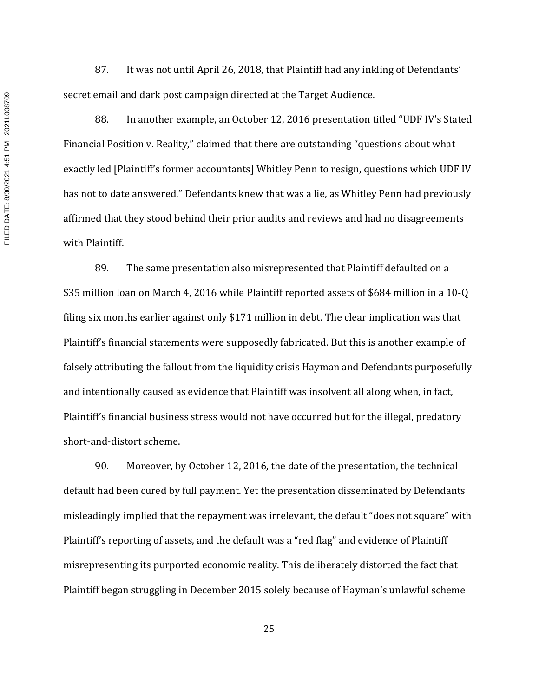87. It was not until April 26, 2018, that Plaintiff had any inkling of Defendants' secret email and dark post campaign directed at the Target Audience.

88. In another example, an October 12, 2016 presentation titled "UDF IV's Stated Financial Position v. Reality," claimed that there are outstanding "questions about what exactly led [Plaintiff's former accountants] Whitley Penn to resign, questions which UDF IV has not to date answered." Defendants knew that was a lie, as Whitley Penn had previously affirmed that they stood behind their prior audits and reviews and had no disagreements with Plaintiff.

89. The same presentation also misrepresented that Plaintiff defaulted on a \$35 million loan on March 4, 2016 while Plaintiff reported assets of \$684 million in a 10-Q filing six months earlier against only \$171 million in debt. The clear implication was that Plaintiff's financial statements were supposedly fabricated. But this is another example of falsely attributing the fallout from the liquidity crisis Hayman and Defendants purposefully and intentionally caused as evidence that Plaintiff was insolvent all along when, in fact, Plaintiff's financial business stress would not have occurred but for the illegal, predatory short-and-distort scheme.

90. Moreover, by October 12, 2016, the date of the presentation, the technical default had been cured by full payment. Yet the presentation disseminated by Defendants misleadingly implied that the repayment was irrelevant, the default "does not square" with Plaintiff's reporting of assets, and the default was a "red flag" and evidence of Plaintiff misrepresenting its purported economic reality. This deliberately distorted the fact that Plaintiff began struggling in December 2015 solely because of Hayman's unlawful scheme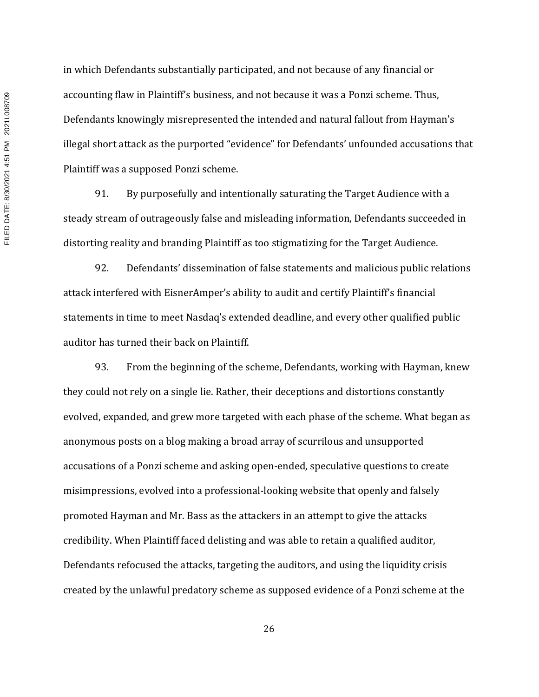in which Defendants substantially participated, and not because of any financial or accounting flaw in Plaintiff's business, and not because it was a Ponzi scheme. Thus, Defendants knowingly misrepresented the intended and natural fallout from Hayman's illegal short attack as the purported "evidence" for Defendants' unfounded accusations that Plaintiff was a supposed Ponzi scheme.

91. By purposefully and intentionally saturating the Target Audience with a steady stream of outrageously false and misleading information, Defendants succeeded in distorting reality and branding Plaintiff as too stigmatizing for the Target Audience.

92. Defendants' dissemination of false statements and malicious public relations attack interfered with EisnerAmper's ability to audit and certify Plaintiff's financial statements in time to meet Nasdaq's extended deadline, and every other qualified public auditor has turned their back on Plaintiff.

93. From the beginning of the scheme, Defendants, working with Hayman, knew they could not rely on a single lie. Rather, their deceptions and distortions constantly evolved, expanded, and grew more targeted with each phase of the scheme. What began as anonymous posts on a blog making a broad array of scurrilous and unsupported accusations of a Ponzi scheme and asking open-ended, speculative questions to create misimpressions, evolved into a professional-looking website that openly and falsely promoted Hayman and Mr. Bass as the attackers in an attempt to give the attacks credibility. When Plaintiff faced delisting and was able to retain a qualified auditor, Defendants refocused the attacks, targeting the auditors, and using the liquidity crisis created by the unlawful predatory scheme as supposed evidence of a Ponzi scheme at the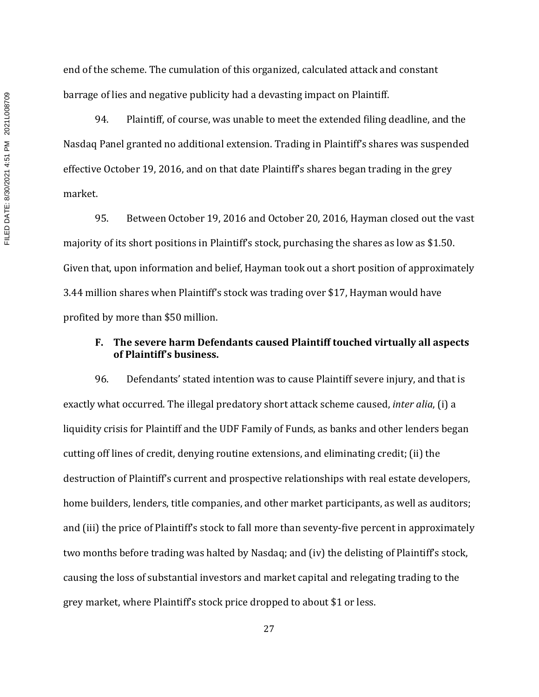end of the scheme. The cumulation of this organized, calculated attack and constant barrage of lies and negative publicity had a devasting impact on Plaintiff.

94. Plaintiff, of course, was unable to meet the extended filing deadline, and the Nasdaq Panel granted no additional extension. Trading in Plaintiff's shares was suspended effective October 19, 2016, and on that date Plaintiff's shares began trading in the grey market.

95. Between October 19, 2016 and October 20, 2016, Hayman closed out the vast majority of its short positions in Plaintiff's stock, purchasing the shares as low as \$1.50. Given that, upon information and belief, Hayman took out a short position of approximately 3.44 million shares when Plaintiff's stock was trading over \$17, Hayman would have profited by more than \$50 million.

## **F. The severe harm Defendants caused Plaintiff touched virtually all aspects of Plaintiff's business.**

96. Defendants' stated intention was to cause Plaintiff severe injury, and that is exactly what occurred. The illegal predatory short attack scheme caused, *inter alia*, (i) a liquidity crisis for Plaintiff and the UDF Family of Funds, as banks and other lenders began cutting off lines of credit, denying routine extensions, and eliminating credit; (ii) the destruction of Plaintiff's current and prospective relationships with real estate developers, home builders, lenders, title companies, and other market participants, as well as auditors; and (iii) the price of Plaintiff's stock to fall more than seventy-five percent in approximately two months before trading was halted by Nasdaq; and (iv) the delisting of Plaintiff's stock, causing the loss of substantial investors and market capital and relegating trading to the grey market, where Plaintiff's stock price dropped to about \$1 or less.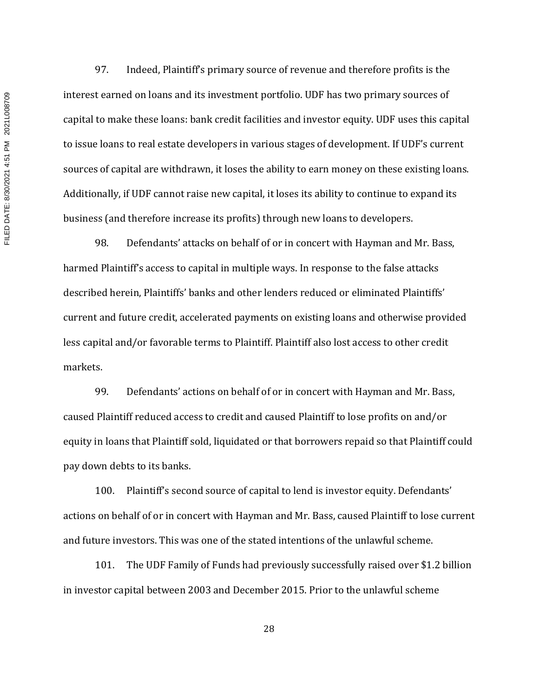FILED DATE: 8/30/2021 4:51 PM 2021L008709 FILED DATE: 8/30/2021 4:51 PM 2021L008709

97. Indeed, Plaintiff's primary source of revenue and therefore profits is the interest earned on loans and its investment portfolio. UDF has two primary sources of capital to make these loans: bank credit facilities and investor equity. UDF uses this capital to issue loans to real estate developers in various stages of development. If UDF's current sources of capital are withdrawn, it loses the ability to earn money on these existing loans. Additionally, if UDF cannot raise new capital, it loses its ability to continue to expand its business (and therefore increase its profits) through new loans to developers.

98. Defendants' attacks on behalf of or in concert with Hayman and Mr. Bass, harmed Plaintiff's access to capital in multiple ways. In response to the false attacks described herein, Plaintiffs' banks and other lenders reduced or eliminated Plaintiffs' current and future credit, accelerated payments on existing loans and otherwise provided less capital and/or favorable terms to Plaintiff. Plaintiff also lost access to other credit markets.

99. Defendants' actions on behalf of or in concert with Hayman and Mr. Bass, caused Plaintiff reduced access to credit and caused Plaintiff to lose profits on and/or equity in loans that Plaintiff sold, liquidated or that borrowers repaid so that Plaintiff could pay down debts to its banks.

100. Plaintiff's second source of capital to lend is investor equity. Defendants' actions on behalf of or in concert with Hayman and Mr. Bass, caused Plaintiff to lose current and future investors. This was one of the stated intentions of the unlawful scheme.

101. The UDF Family of Funds had previously successfully raised over \$1.2 billion in investor capital between 2003 and December 2015. Prior to the unlawful scheme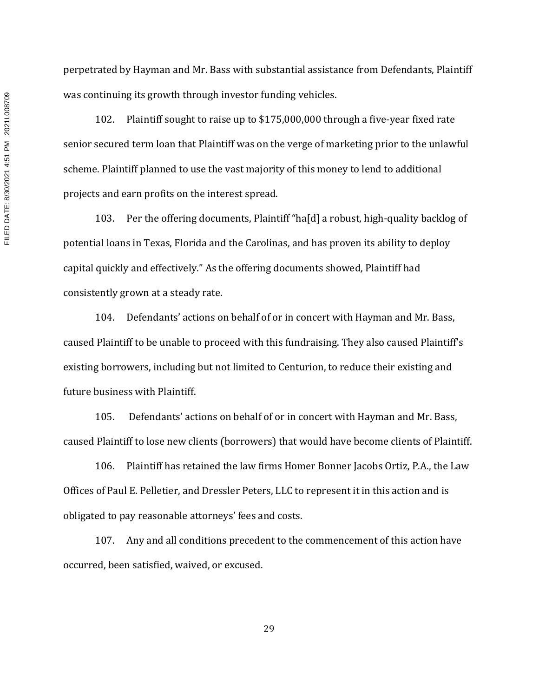perpetrated by Hayman and Mr. Bass with substantial assistance from Defendants, Plaintiff was continuing its growth through investor funding vehicles.

102. Plaintiff sought to raise up to \$175,000,000 through a five-year fixed rate senior secured term loan that Plaintiff was on the verge of marketing prior to the unlawful scheme. Plaintiff planned to use the vast majority of this money to lend to additional projects and earn profits on the interest spread.

103. Per the offering documents, Plaintiff "ha[d] a robust, high-quality backlog of potential loans in Texas, Florida and the Carolinas, and has proven its ability to deploy capital quickly and effectively." As the offering documents showed, Plaintiff had consistently grown at a steady rate.

104. Defendants' actions on behalf of or in concert with Hayman and Mr. Bass, caused Plaintiff to be unable to proceed with this fundraising. They also caused Plaintiff's existing borrowers, including but not limited to Centurion, to reduce their existing and future business with Plaintiff.

105. Defendants' actions on behalf of or in concert with Hayman and Mr. Bass, caused Plaintiff to lose new clients (borrowers) that would have become clients of Plaintiff.

106. Plaintiff has retained the law firms Homer Bonner Jacobs Ortiz, P.A., the Law Offices of Paul E. Pelletier, and Dressler Peters, LLC to represent it in this action and is obligated to pay reasonable attorneys' fees and costs.

107. Any and all conditions precedent to the commencement of this action have occurred, been satisfied, waived, or excused.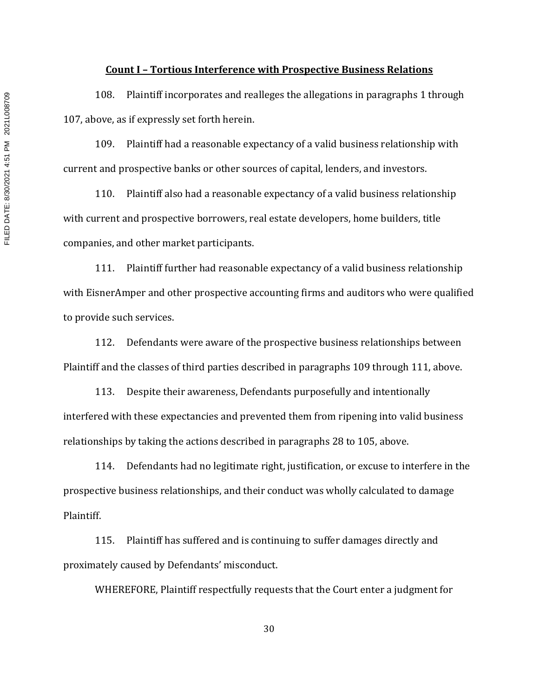#### **Count I – Tortious Interference with Prospective Business Relations**

108. Plaintiff incorporates and realleges the allegations in paragraphs 1 through 107, above, as if expressly set forth herein.

109. Plaintiff had a reasonable expectancy of a valid business relationship with current and prospective banks or other sources of capital, lenders, and investors.

110. Plaintiff also had a reasonable expectancy of a valid business relationship with current and prospective borrowers, real estate developers, home builders, title companies, and other market participants.

111. Plaintiff further had reasonable expectancy of a valid business relationship with EisnerAmper and other prospective accounting firms and auditors who were qualified to provide such services.

112. Defendants were aware of the prospective business relationships between Plaintiff and the classes of third parties described in paragraphs 109 through 111, above.

113. Despite their awareness, Defendants purposefully and intentionally interfered with these expectancies and prevented them from ripening into valid business relationships by taking the actions described in paragraphs 28 to 105, above.

114. Defendants had no legitimate right, justification, or excuse to interfere in the prospective business relationships, and their conduct was wholly calculated to damage Plaintiff.

115. Plaintiff has suffered and is continuing to suffer damages directly and proximately caused by Defendants' misconduct.

WHEREFORE, Plaintiff respectfully requests that the Court enter a judgment for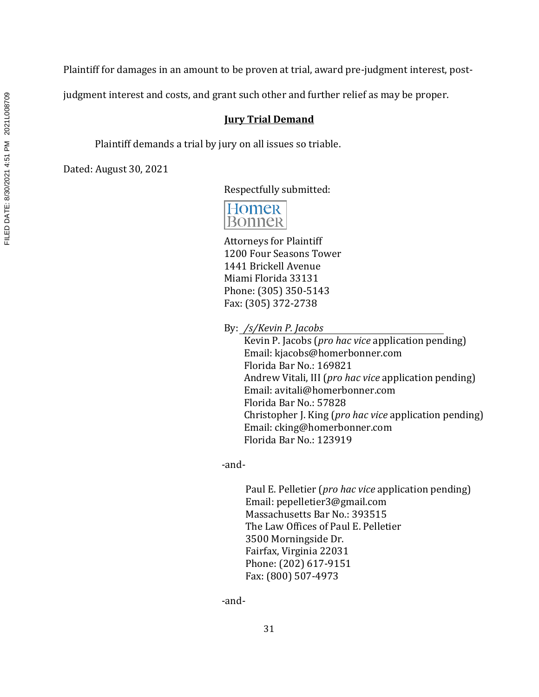judgment interest and costs, and grant such other and further relief as may be proper.

# **Jury Trial Demand**

Plaintiff demands a trial by jury on all issues so triable.

Dated: August 30, 2021

Respectfully submitted:



Attorneys for Plaintiff 1200 Four Seasons Tower 1441 Brickell Avenue Miami Florida 33131 Phone: (305) 350-5143 Fax: (305) 372-2738

By: */s/Kevin P. Jacobs*

Kevin P. Jacobs (*pro hac vice* application pending) Email: kjacobs@homerbonner.com Florida Bar No.: 169821 Andrew Vitali, III (*pro hac vice* application pending) Email: avitali@homerbonner.com Florida Bar No.: 57828 Christopher J. King (*pro hac vice* application pending) Email: cking@homerbonner.com Florida Bar No.: 123919

-and-

Paul E. Pelletier (*pro hac vice* application pending) Email: pepelletier3@gmail.com Massachusetts Bar No.: 393515 The Law Offices of Paul E. Pelletier 3500 Morningside Dr. Fairfax, Virginia 22031 Phone: (202) 617-9151 Fax: (800) 507-4973

-and-